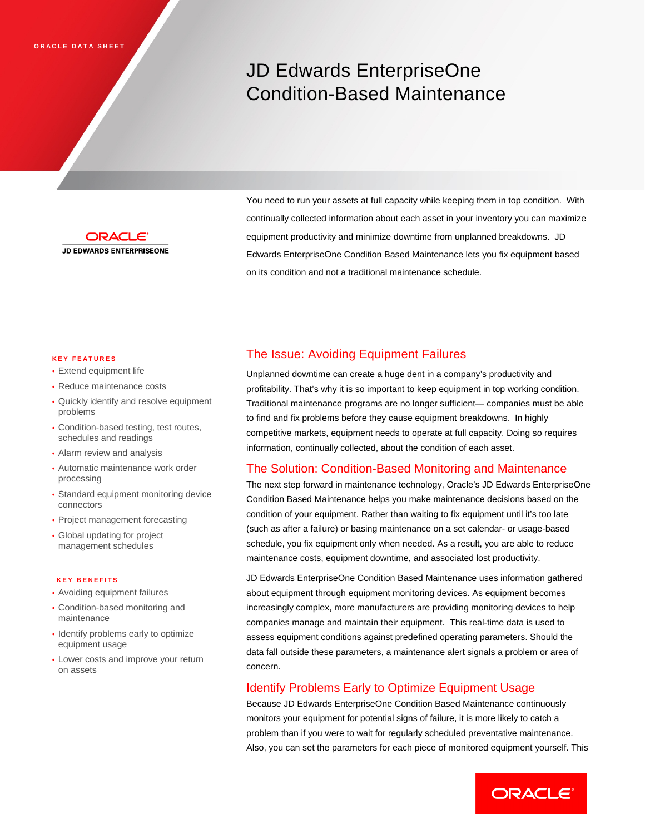# JD Edwards EnterpriseOne Condition-Based Maintenance



You need to run your assets at full capacity while keeping them in top condition. With continually collected information about each asset in your inventory you can maximize equipment productivity and minimize downtime from unplanned breakdowns. JD Edwards EnterpriseOne Condition Based Maintenance lets you fix equipment based on its condition and not a traditional maintenance schedule.

### **KEY FEATURES**

- Extend equipment life
- Reduce maintenance costs
- Quickly identify and resolve equipment problems
- Condition-based testing, test routes, schedules and readings
- Alarm review and analysis
- Automatic maintenance work order processing
- Standard equipment monitoring device connectors
- Project management forecasting
- Global updating for project management schedules

#### **KEY BENEFITS**

- Avoiding equipment failures
- Condition-based monitoring and maintenance
- Identify problems early to optimize equipment usage
- Lower costs and improve your return on assets

# The Issue: Avoiding Equipment Failures

Unplanned downtime can create a huge dent in a company's productivity and profitability. That's why it is so important to keep equipment in top working condition. Traditional maintenance programs are no longer sufficient— companies must be able to find and fix problems before they cause equipment breakdowns. In highly competitive markets, equipment needs to operate at full capacity. Doing so requires information, continually collected, about the condition of each asset.

# The Solution: Condition-Based Monitoring and Maintenance

The next step forward in maintenance technology, Oracle's JD Edwards EnterpriseOne Condition Based Maintenance helps you make maintenance decisions based on the condition of your equipment. Rather than waiting to fix equipment until it's too late (such as after a failure) or basing maintenance on a set calendar- or usage-based schedule, you fix equipment only when needed. As a result, you are able to reduce maintenance costs, equipment downtime, and associated lost productivity.

JD Edwards EnterpriseOne Condition Based Maintenance uses information gathered about equipment through equipment monitoring devices. As equipment becomes increasingly complex, more manufacturers are providing monitoring devices to help companies manage and maintain their equipment. This real-time data is used to assess equipment conditions against predefined operating parameters. Should the data fall outside these parameters, a maintenance alert signals a problem or area of concern.

# Identify Problems Early to Optimize Equipment Usage

Because JD Edwards EnterpriseOne Condition Based Maintenance continuously monitors your equipment for potential signs of failure, it is more likely to catch a problem than if you were to wait for regularly scheduled preventative maintenance. Also, you can set the parameters for each piece of monitored equipment yourself. This